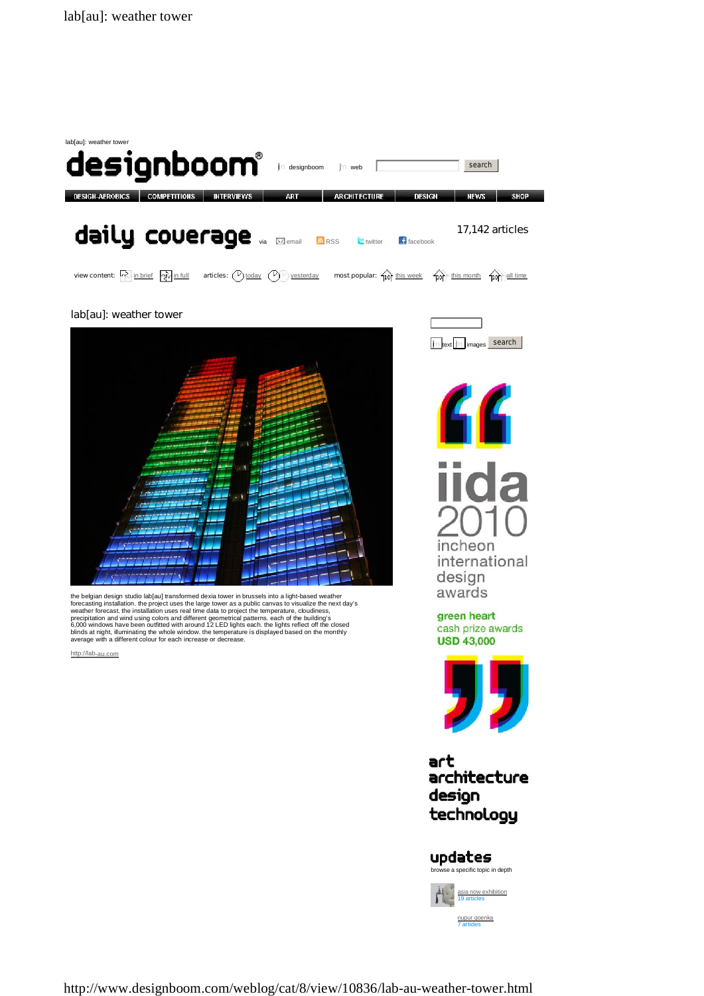

http://www.designboom.com/weblog/cat/8/view/10836/lab-au-weather-tower.html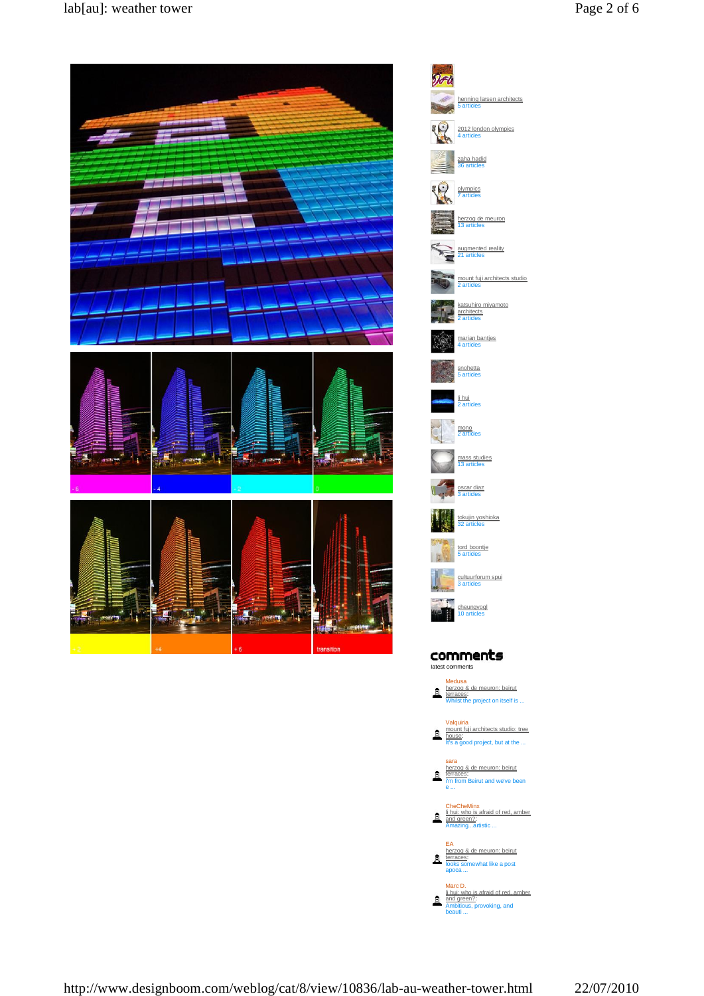henning larsen architects 5 artides

2012 london olympics 4 articles

zaha hadid 36 articles

olympics<br>7 articles

herzog de meuron 13 articles

augmented reality<br>21 articles

marian banties<br>4 artides

snohetta<br>5 artides

l<u>i hui</u><br>2 artides

mono<br>2 artides

mass studies<br>13 articles

oscar diaz<br>3 artides

tokujin yoshioka 32 articles

tord boontje<br>5 articles

cheungvog<br>10 articles

cultuurforum spui<br>3 articles

mount fuji architects studio 2 artides katsuhiro miyamoto architects<br>2 artides



http://www.designboom.com/weblog/cat/8/view/10836/lab-au-weather-tower.html 22/07/2010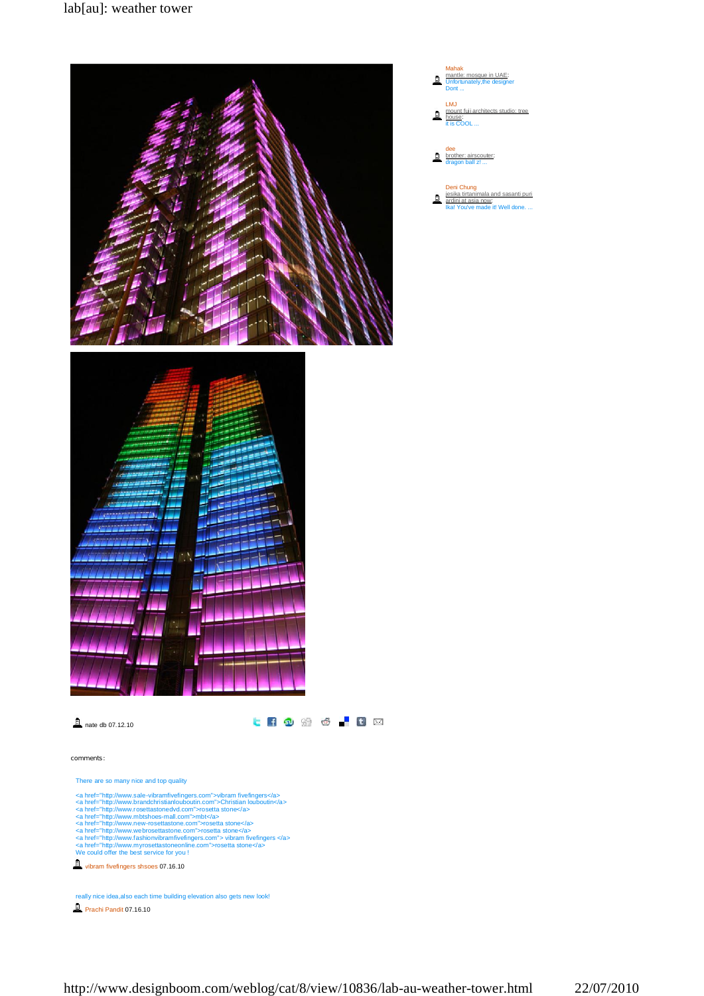

## **A** nate db 07.12.10

**CHOMO FHOM** 

## **comments:**

There are so many nice and top quality

- 
- 
- 
- 
- <a href="http://www.sale-vibramfivefingers.com">vibram fivefingers</a><br><a href="http://www.brandchristianlouboutin.com">Christian louboutin</a><br><a href="http://www.brandchristianlouboutin.com">Christian louboutin</a><br><a hr
- 

vibram fivefingers shsoes 07.16.10

Prachi Pandit 07.16.10 really nice idea,also each time building elevation also gets new look!

- Mahak mantle: mosque in UAE: Unfortunately,the designer Dont ... LMJ mount fuji architects studio: tree house: it is COOL ...
- dee<br>brother: airscouter:<br>dragon ball z! ...
- Deni Chung<br>jesika tirtanimala and sasanti puri<br>ardini at asia now:<br>Ika! You've made it! Well done. ...